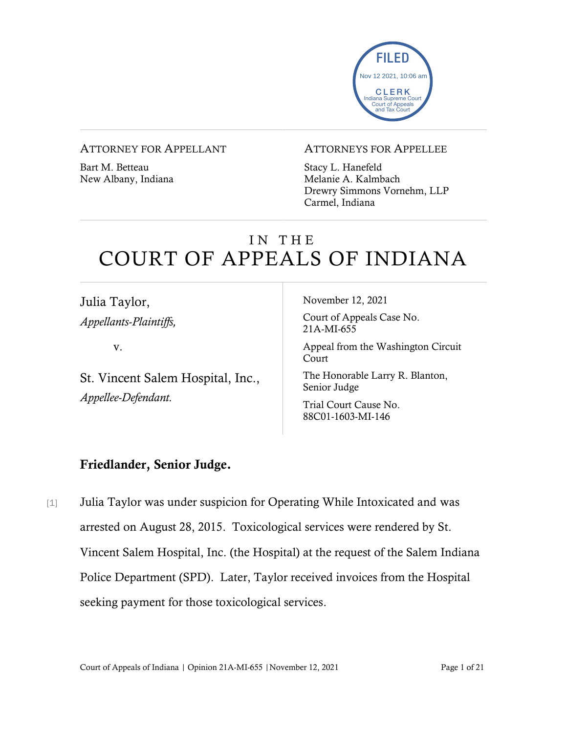

#### ATTORNEY FOR APPELLANT

Bart M. Betteau New Albany, Indiana

#### ATTORNEYS FOR APPELLEE

Stacy L. Hanefeld Melanie A. Kalmbach Drewry Simmons Vornehm, LLP Carmel, Indiana

# IN THE COURT OF APPEALS OF INDIANA

Julia Taylor, *Appellants-Plaintiffs,* 

v.

St. Vincent Salem Hospital, Inc., *Appellee-Defendant.*

November 12, 2021

Court of Appeals Case No. 21A-MI-655

Appeal from the Washington Circuit Court

The Honorable Larry R. Blanton, Senior Judge

Trial Court Cause No. 88C01-1603-MI-146

# Friedlander, Senior Judge.

[1] Julia Taylor was under suspicion for Operating While Intoxicated and was arrested on August 28, 2015. Toxicological services were rendered by St. Vincent Salem Hospital, Inc. (the Hospital) at the request of the Salem Indiana Police Department (SPD). Later, Taylor received invoices from the Hospital seeking payment for those toxicological services.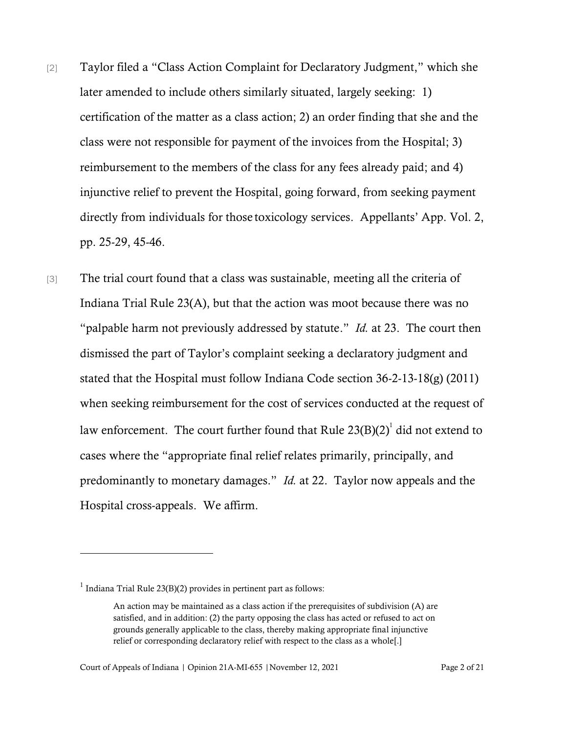- [2] Taylor filed a "Class Action Complaint for Declaratory Judgment," which she later amended to include others similarly situated, largely seeking: 1) certification of the matter as a class action; 2) an order finding that she and the class were not responsible for payment of the invoices from the Hospital; 3) reimbursement to the members of the class for any fees already paid; and 4) injunctive relief to prevent the Hospital, going forward, from seeking payment directly from individuals for those toxicology services. Appellants' App. Vol. 2, pp. 25-29, 45-46.
- [3] The trial court found that a class was sustainable, meeting all the criteria of Indiana Trial Rule 23(A), but that the action was moot because there was no "palpable harm not previously addressed by statute." *Id.* at 23. The court then dismissed the part of Taylor's complaint seeking a declaratory judgment and stated that the Hospital must follow Indiana Code section 36-2-13-18(g) (2011) when seeking reimbursement for the cost of services conducted at the request of law enforcement. The court further found that Rule 23(B)(2) $^{\rm l}$  did not extend to cases where the "appropriate final relief relates primarily, principally, and predominantly to monetary damages." *Id.* at 22. Taylor now appeals and the Hospital cross-appeals. We affirm.

 $<sup>1</sup>$  Indiana Trial Rule 23(B)(2) provides in pertinent part as follows:</sup>

An action may be maintained as a class action if the prerequisites of subdivision (A) are satisfied, and in addition: (2) the party opposing the class has acted or refused to act on grounds generally applicable to the class, thereby making appropriate final injunctive relief or corresponding declaratory relief with respect to the class as a whole[.]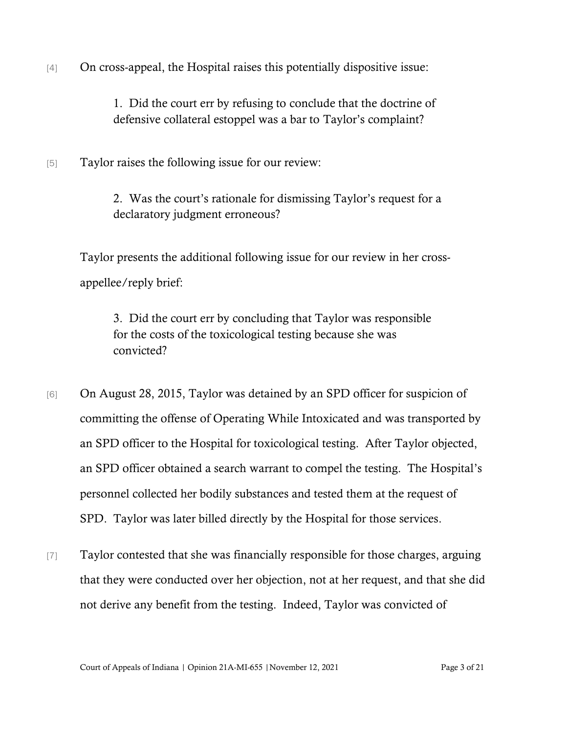[4] On cross-appeal, the Hospital raises this potentially dispositive issue:

1. Did the court err by refusing to conclude that the doctrine of defensive collateral estoppel was a bar to Taylor's complaint?

[5] Taylor raises the following issue for our review:

2. Was the court's rationale for dismissing Taylor's request for a declaratory judgment erroneous?

Taylor presents the additional following issue for our review in her crossappellee/reply brief:

3. Did the court err by concluding that Taylor was responsible for the costs of the toxicological testing because she was convicted?

- [6] On August 28, 2015, Taylor was detained by an SPD officer for suspicion of committing the offense of Operating While Intoxicated and was transported by an SPD officer to the Hospital for toxicological testing. After Taylor objected, an SPD officer obtained a search warrant to compel the testing. The Hospital's personnel collected her bodily substances and tested them at the request of SPD. Taylor was later billed directly by the Hospital for those services.
- [7] Taylor contested that she was financially responsible for those charges, arguing that they were conducted over her objection, not at her request, and that she did not derive any benefit from the testing. Indeed, Taylor was convicted of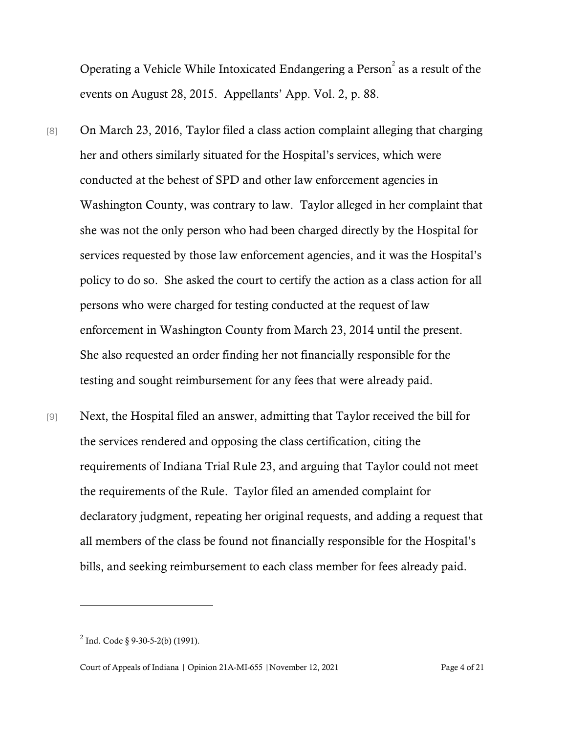Operating a Vehicle While Intoxicated Endangering a Person $^2$  as a result of the events on August 28, 2015. Appellants' App. Vol. 2, p. 88.

- [8] On March 23, 2016, Taylor filed a class action complaint alleging that charging her and others similarly situated for the Hospital's services, which were conducted at the behest of SPD and other law enforcement agencies in Washington County, was contrary to law. Taylor alleged in her complaint that she was not the only person who had been charged directly by the Hospital for services requested by those law enforcement agencies, and it was the Hospital's policy to do so. She asked the court to certify the action as a class action for all persons who were charged for testing conducted at the request of law enforcement in Washington County from March 23, 2014 until the present. She also requested an order finding her not financially responsible for the testing and sought reimbursement for any fees that were already paid.
- [9] Next, the Hospital filed an answer, admitting that Taylor received the bill for the services rendered and opposing the class certification, citing the requirements of Indiana Trial Rule 23, and arguing that Taylor could not meet the requirements of the Rule. Taylor filed an amended complaint for declaratory judgment, repeating her original requests, and adding a request that all members of the class be found not financially responsible for the Hospital's bills, and seeking reimbursement to each class member for fees already paid.

 $^{2}$  Ind. Code § 9-30-5-2(b) (1991).

Court of Appeals of Indiana | Opinion 21A-MI-655 |November 12, 2021 Page 4 of 21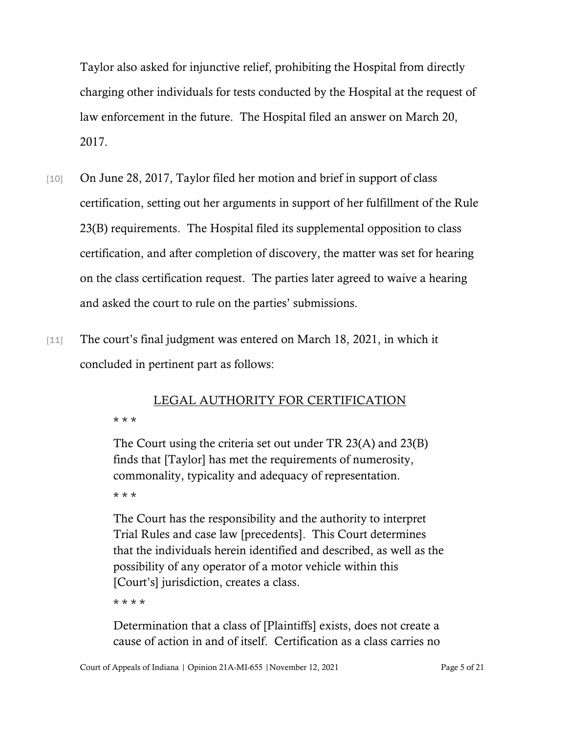Taylor also asked for injunctive relief, prohibiting the Hospital from directly charging other individuals for tests conducted by the Hospital at the request of law enforcement in the future. The Hospital filed an answer on March 20, 2017.

- [10] On June 28, 2017, Taylor filed her motion and brief in support of class certification, setting out her arguments in support of her fulfillment of the Rule 23(B) requirements. The Hospital filed its supplemental opposition to class certification, and after completion of discovery, the matter was set for hearing on the class certification request. The parties later agreed to waive a hearing and asked the court to rule on the parties' submissions.
- [11] The court's final judgment was entered on March 18, 2021, in which it concluded in pertinent part as follows:

# LEGAL AUTHORITY FOR CERTIFICATION \* \* \*

The Court using the criteria set out under TR 23(A) and 23(B) finds that [Taylor] has met the requirements of numerosity, commonality, typicality and adequacy of representation. \* \* \*

The Court has the responsibility and the authority to interpret Trial Rules and case law [precedents]. This Court determines that the individuals herein identified and described, as well as the possibility of any operator of a motor vehicle within this [Court's] jurisdiction, creates a class.

\* \* \* \*

Determination that a class of [Plaintiffs] exists, does not create a cause of action in and of itself. Certification as a class carries no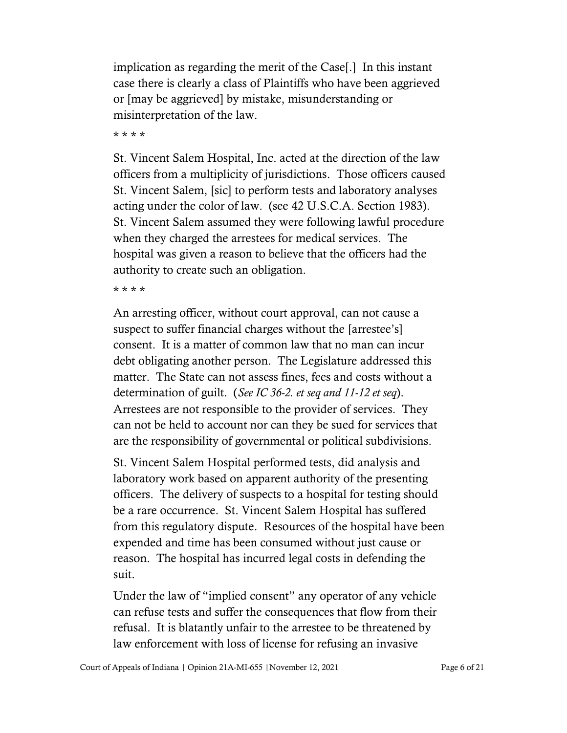implication as regarding the merit of the Case[.] In this instant case there is clearly a class of Plaintiffs who have been aggrieved or [may be aggrieved] by mistake, misunderstanding or misinterpretation of the law.

\* \* \* \*

St. Vincent Salem Hospital, Inc. acted at the direction of the law officers from a multiplicity of jurisdictions. Those officers caused St. Vincent Salem, [sic] to perform tests and laboratory analyses acting under the color of law. (see 42 U.S.C.A. Section 1983). St. Vincent Salem assumed they were following lawful procedure when they charged the arrestees for medical services. The hospital was given a reason to believe that the officers had the authority to create such an obligation.

\* \* \* \*

An arresting officer, without court approval, can not cause a suspect to suffer financial charges without the [arrestee's] consent. It is a matter of common law that no man can incur debt obligating another person. The Legislature addressed this matter. The State can not assess fines, fees and costs without a determination of guilt. (*See IC 36-2. et seq and 11-12 et seq*). Arrestees are not responsible to the provider of services. They can not be held to account nor can they be sued for services that are the responsibility of governmental or political subdivisions.

St. Vincent Salem Hospital performed tests, did analysis and laboratory work based on apparent authority of the presenting officers. The delivery of suspects to a hospital for testing should be a rare occurrence. St. Vincent Salem Hospital has suffered from this regulatory dispute. Resources of the hospital have been expended and time has been consumed without just cause or reason. The hospital has incurred legal costs in defending the suit.

Under the law of "implied consent" any operator of any vehicle can refuse tests and suffer the consequences that flow from their refusal. It is blatantly unfair to the arrestee to be threatened by law enforcement with loss of license for refusing an invasive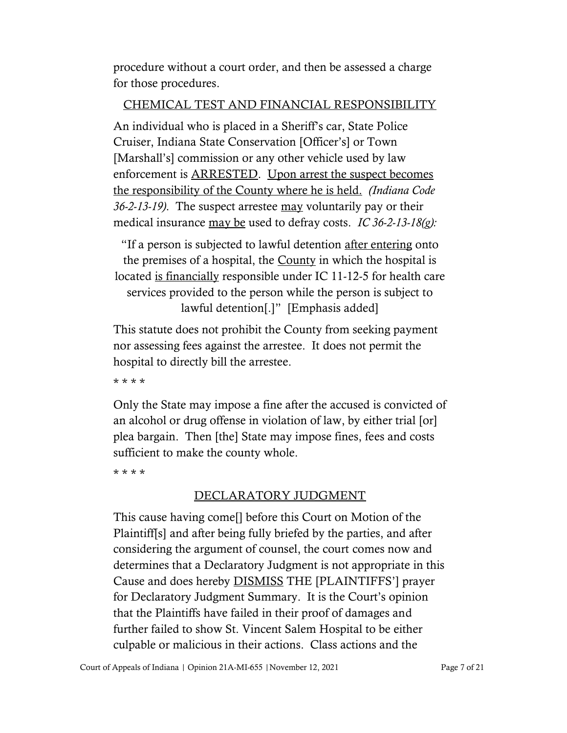procedure without a court order, and then be assessed a charge for those procedures.

# CHEMICAL TEST AND FINANCIAL RESPONSIBILITY

An individual who is placed in a Sheriff's car, State Police Cruiser, Indiana State Conservation [Officer's] or Town [Marshall's] commission or any other vehicle used by law enforcement is ARRESTED. Upon arrest the suspect becomes the responsibility of the County where he is held. *(Indiana Code 36-2-13-19)*. The suspect arrestee may voluntarily pay or their medical insurance may be used to defray costs. *IC 36-2-13-18(g):*

"If a person is subjected to lawful detention after entering onto the premises of a hospital, the County in which the hospital is located is financially responsible under IC 11-12-5 for health care services provided to the person while the person is subject to lawful detention[.]" [Emphasis added]

This statute does not prohibit the County from seeking payment nor assessing fees against the arrestee. It does not permit the hospital to directly bill the arrestee.

\* \* \* \*

Only the State may impose a fine after the accused is convicted of an alcohol or drug offense in violation of law, by either trial [or] plea bargain. Then [the] State may impose fines, fees and costs sufficient to make the county whole.

\* \* \* \*

# DECLARATORY JUDGMENT

This cause having come[] before this Court on Motion of the Plaintiff[s] and after being fully briefed by the parties, and after considering the argument of counsel, the court comes now and determines that a Declaratory Judgment is not appropriate in this Cause and does hereby DISMISS THE [PLAINTIFFS'] prayer for Declaratory Judgment Summary. It is the Court's opinion that the Plaintiffs have failed in their proof of damages and further failed to show St. Vincent Salem Hospital to be either culpable or malicious in their actions. Class actions and the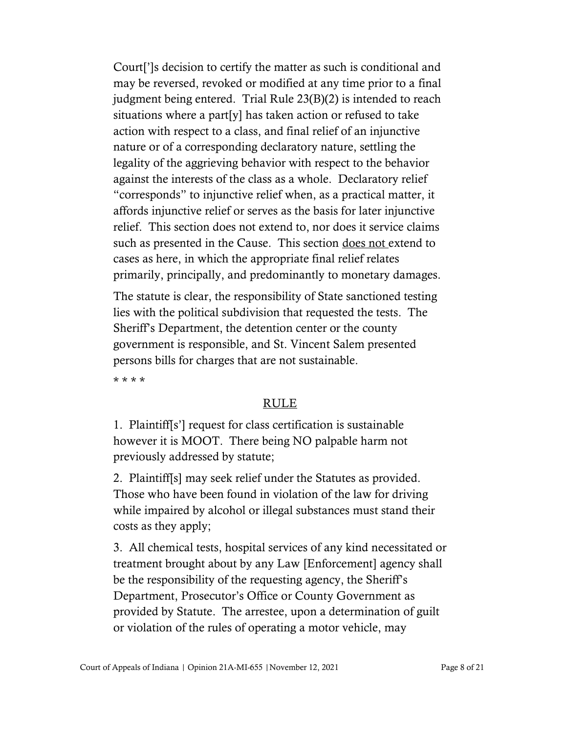Court[']s decision to certify the matter as such is conditional and may be reversed, revoked or modified at any time prior to a final judgment being entered. Trial Rule 23(B)(2) is intended to reach situations where a part[y] has taken action or refused to take action with respect to a class, and final relief of an injunctive nature or of a corresponding declaratory nature, settling the legality of the aggrieving behavior with respect to the behavior against the interests of the class as a whole. Declaratory relief "corresponds" to injunctive relief when, as a practical matter, it affords injunctive relief or serves as the basis for later injunctive relief. This section does not extend to, nor does it service claims such as presented in the Cause. This section does not extend to cases as here, in which the appropriate final relief relates primarily, principally, and predominantly to monetary damages.

The statute is clear, the responsibility of State sanctioned testing lies with the political subdivision that requested the tests. The Sheriff's Department, the detention center or the county government is responsible, and St. Vincent Salem presented persons bills for charges that are not sustainable.

\* \* \* \*

# RULE

1. Plaintiff[s'] request for class certification is sustainable however it is MOOT. There being NO palpable harm not previously addressed by statute;

2. Plaintiff[s] may seek relief under the Statutes as provided. Those who have been found in violation of the law for driving while impaired by alcohol or illegal substances must stand their costs as they apply;

3. All chemical tests, hospital services of any kind necessitated or treatment brought about by any Law [Enforcement] agency shall be the responsibility of the requesting agency, the Sheriff's Department, Prosecutor's Office or County Government as provided by Statute. The arrestee, upon a determination of guilt or violation of the rules of operating a motor vehicle, may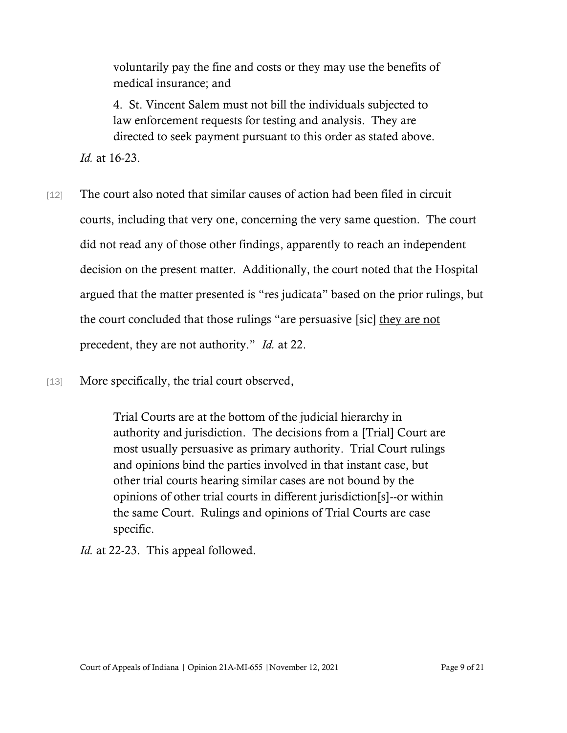voluntarily pay the fine and costs or they may use the benefits of medical insurance; and

4. St. Vincent Salem must not bill the individuals subjected to law enforcement requests for testing and analysis. They are directed to seek payment pursuant to this order as stated above.

*Id.* at 16-23.

- [12] The court also noted that similar causes of action had been filed in circuit courts, including that very one, concerning the very same question. The court did not read any of those other findings, apparently to reach an independent decision on the present matter. Additionally, the court noted that the Hospital argued that the matter presented is "res judicata" based on the prior rulings, but the court concluded that those rulings "are persuasive [sic] they are not precedent, they are not authority." *Id.* at 22.
- [13] More specifically, the trial court observed,

Trial Courts are at the bottom of the judicial hierarchy in authority and jurisdiction. The decisions from a [Trial] Court are most usually persuasive as primary authority. Trial Court rulings and opinions bind the parties involved in that instant case, but other trial courts hearing similar cases are not bound by the opinions of other trial courts in different jurisdiction[s]--or within the same Court. Rulings and opinions of Trial Courts are case specific.

*Id.* at 22-23. This appeal followed.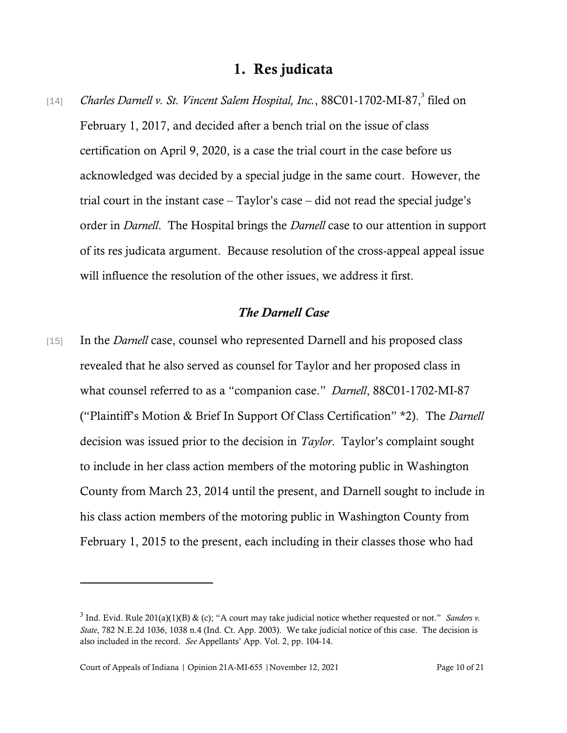# 1. Res judicata

[14] Charles Darnell v. St. Vincent Salem Hospital, Inc., 88C01-1702-MI-87,<sup>3</sup> filed on February 1, 2017, and decided after a bench trial on the issue of class certification on April 9, 2020, is a case the trial court in the case before us acknowledged was decided by a special judge in the same court. However, the trial court in the instant case – Taylor's case – did not read the special judge's order in *Darnell*. The Hospital brings the *Darnell* case to our attention in support of its res judicata argument. Because resolution of the cross-appeal appeal issue will influence the resolution of the other issues, we address it first.

#### *The Darnell Case*

[15] In the *Darnell* case, counsel who represented Darnell and his proposed class revealed that he also served as counsel for Taylor and her proposed class in what counsel referred to as a "companion case." *Darnell*, 88C01-1702-MI-87 ("Plaintiff's Motion & Brief In Support Of Class Certification" \*2). The *Darnell* decision was issued prior to the decision in *Taylor*. Taylor's complaint sought to include in her class action members of the motoring public in Washington County from March 23, 2014 until the present, and Darnell sought to include in his class action members of the motoring public in Washington County from February 1, 2015 to the present, each including in their classes those who had

 $3$  Ind. Evid. Rule 201(a)(1)(B) & (c); "A court may take judicial notice whether requested or not." *Sanders v. State*, 782 N.E.2d 1036, 1038 n.4 (Ind. Ct. App. 2003). We take judicial notice of this case. The decision is also included in the record. *See* Appellants' App. Vol. 2, pp. 104-14.

Court of Appeals of Indiana | Opinion 21A-MI-655 | November 12, 2021 Page 10 of 21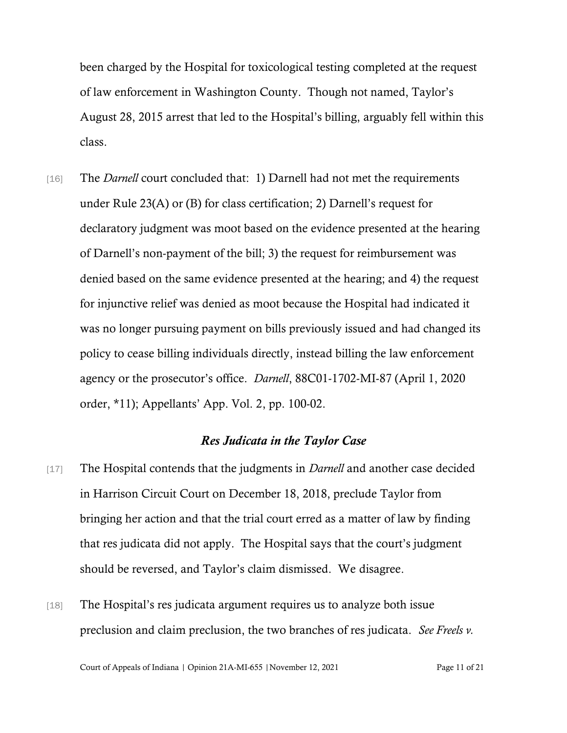been charged by the Hospital for toxicological testing completed at the request of law enforcement in Washington County. Though not named, Taylor's August 28, 2015 arrest that led to the Hospital's billing, arguably fell within this class.

[16] The *Darnell* court concluded that: 1) Darnell had not met the requirements under Rule 23(A) or (B) for class certification; 2) Darnell's request for declaratory judgment was moot based on the evidence presented at the hearing of Darnell's non-payment of the bill; 3) the request for reimbursement was denied based on the same evidence presented at the hearing; and 4) the request for injunctive relief was denied as moot because the Hospital had indicated it was no longer pursuing payment on bills previously issued and had changed its policy to cease billing individuals directly, instead billing the law enforcement agency or the prosecutor's office. *Darnell*, 88C01-1702-MI-87 (April 1, 2020 order, \*11); Appellants' App. Vol. 2, pp. 100-02.

### *Res Judicata in the Taylor Case*

- [17] The Hospital contends that the judgments in *Darnell* and another case decided in Harrison Circuit Court on December 18, 2018, preclude Taylor from bringing her action and that the trial court erred as a matter of law by finding that res judicata did not apply. The Hospital says that the court's judgment should be reversed, and Taylor's claim dismissed. We disagree.
- [18] The Hospital's res judicata argument requires us to analyze both issue preclusion and claim preclusion, the two branches of res judicata. *See Freels v.*

Court of Appeals of Indiana | Opinion 21A-MI-655 | November 12, 2021 Page 11 of 21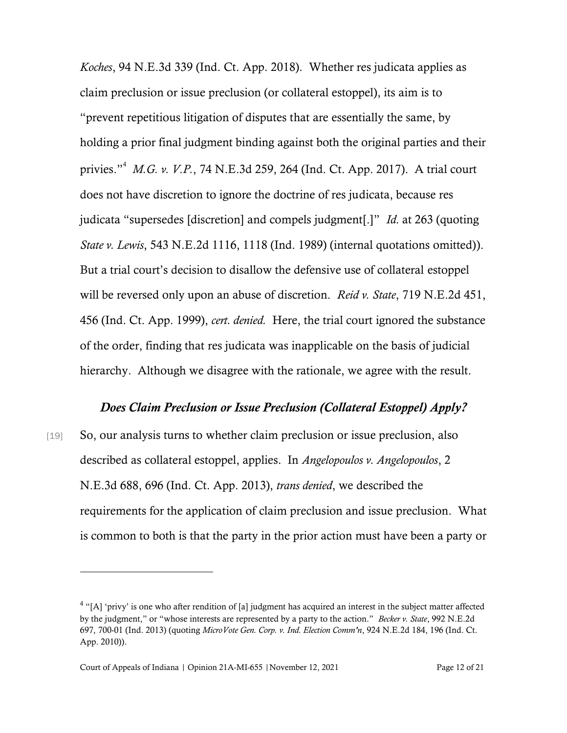*Koches*, 94 N.E.3d 339 (Ind. Ct. App. 2018). Whether res judicata applies as claim preclusion or issue preclusion (or collateral estoppel), its aim is to "prevent repetitious litigation of disputes that are essentially the same, by holding a prior final judgment binding against both the original parties and their privies."<sup>4</sup> *M.G. v. V.P.*, 74 N.E.3d 259, 264 (Ind. Ct. App. 2017). A trial court does not have discretion to ignore the doctrine of res judicata, because res judicata "supersedes [discretion] and compels judgment[.]" *Id.* at 263 (quoting *State v. Lewis*, 543 N.E.2d 1116, 1118 (Ind. 1989) (internal quotations omitted)). But a trial court's decision to disallow the defensive use of collateral estoppel will be reversed only upon an abuse of discretion. *Reid v. State*, 719 N.E.2d 451, 456 (Ind. Ct. App. 1999), *cert. denied.* Here, the trial court ignored the substance of the order, finding that res judicata was inapplicable on the basis of judicial hierarchy. Although we disagree with the rationale, we agree with the result.

#### *Does Claim Preclusion or Issue Preclusion (Collateral Estoppel) Apply?*

[19] So, our analysis turns to whether claim preclusion or issue preclusion, also described as collateral estoppel, applies. In *Angelopoulos v. Angelopoulos*, 2 N.E.3d 688, 696 (Ind. Ct. App. 2013), *trans denied*, we described the requirements for the application of claim preclusion and issue preclusion. What is common to both is that the party in the prior action must have been a party or

 $4$  "[A] 'privy' is one who after rendition of [a] judgment has acquired an interest in the subject matter affected by the judgment," or "whose interests are represented by a party to the action." *Becker v. State*, 992 N.E.2d 697, 700-01 (Ind. 2013) (quoting *MicroVote Gen. Corp. v. Ind. Election Comm'n*, 924 N.E.2d 184, 196 (Ind. Ct. App. 2010)).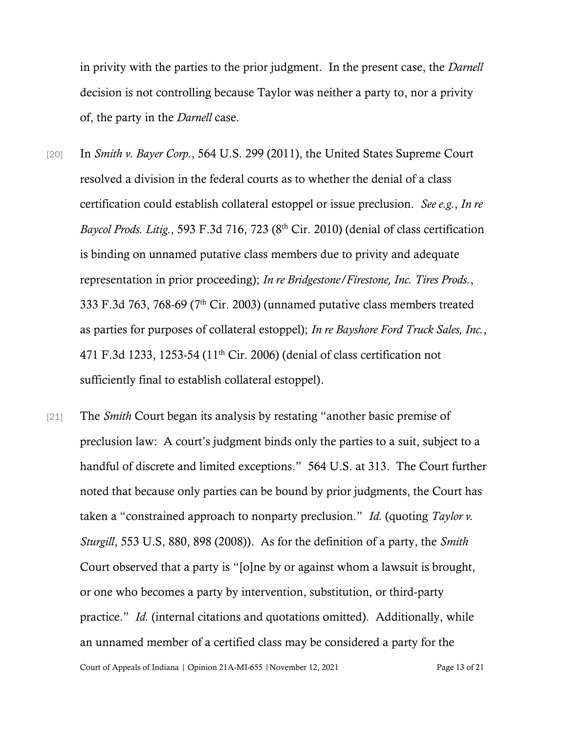in privity with the parties to the prior judgment. In the present case, the *Darnell* decision is not controlling because Taylor was neither a party to, nor a privity of, the party in the *Darnell* case.

- [20] In *Smith v. Bayer Corp.*, 564 U.S. 299 (2011), the United States Supreme Court resolved a division in the federal courts as to whether the denial of a class certification could establish collateral estoppel or issue preclusion. *See e.g.*, *In re Baycol Prods. Litig.*, 593 F.3d 716, 723 (8th Cir. 2010) (denial of class certification is binding on unnamed putative class members due to privity and adequate representation in prior proceeding); *In re Bridgestone/Firestone, Inc. Tires Prods.*, 333 F.3d 763, 768-69 (7th Cir. 2003) (unnamed putative class members treated as parties for purposes of collateral estoppel); *In re Bayshore Ford Truck Sales, Inc.*, 471 F.3d 1233, 1253-54 (11th Cir. 2006) (denial of class certification not sufficiently final to establish collateral estoppel).
- Court of Appeals of Indiana | Opinion 21A-MI-655 | November 12, 2021 Page 13 of 21 [21] The *Smith* Court began its analysis by restating "another basic premise of preclusion law: A court's judgment binds only the parties to a suit, subject to a handful of discrete and limited exceptions." 564 U.S. at 313. The Court further noted that because only parties can be bound by prior judgments, the Court has taken a "constrained approach to nonparty preclusion." *Id.* (quoting *Taylor v. Sturgill*, 553 U.S, 880, 898 (2008)). As for the definition of a party, the *Smith*  Court observed that a party is "[o]ne by or against whom a lawsuit is brought, or one who becomes a party by intervention, substitution, or third-party practice." *Id.* (internal citations and quotations omitted). Additionally, while an unnamed member of a certified class may be considered a party for the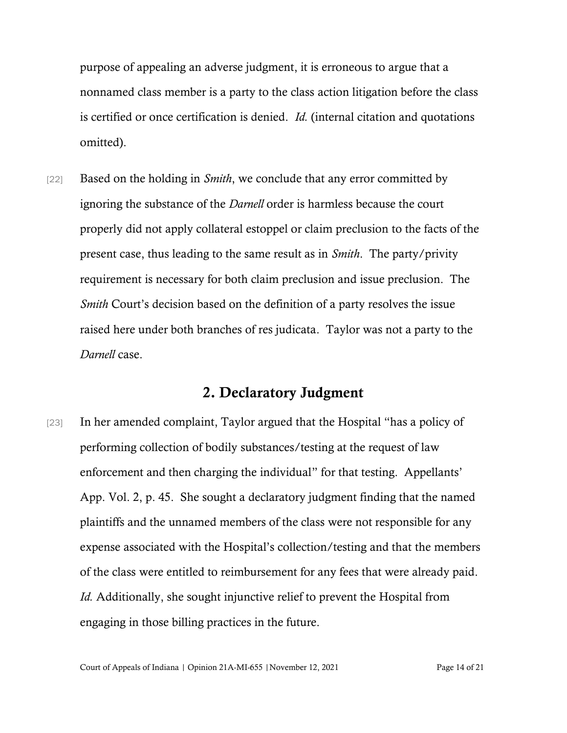purpose of appealing an adverse judgment, it is erroneous to argue that a nonnamed class member is a party to the class action litigation before the class is certified or once certification is denied. *Id.* (internal citation and quotations omitted).

[22] Based on the holding in *Smith*, we conclude that any error committed by ignoring the substance of the *Darnell* order is harmless because the court properly did not apply collateral estoppel or claim preclusion to the facts of the present case, thus leading to the same result as in *Smith*. The party/privity requirement is necessary for both claim preclusion and issue preclusion. The *Smith* Court's decision based on the definition of a party resolves the issue raised here under both branches of res judicata. Taylor was not a party to the *Darnell* case.

# 2. Declaratory Judgment

[23] In her amended complaint, Taylor argued that the Hospital "has a policy of performing collection of bodily substances/testing at the request of law enforcement and then charging the individual" for that testing. Appellants' App. Vol. 2, p. 45. She sought a declaratory judgment finding that the named plaintiffs and the unnamed members of the class were not responsible for any expense associated with the Hospital's collection/testing and that the members of the class were entitled to reimbursement for any fees that were already paid. *Id.* Additionally, she sought injunctive relief to prevent the Hospital from engaging in those billing practices in the future.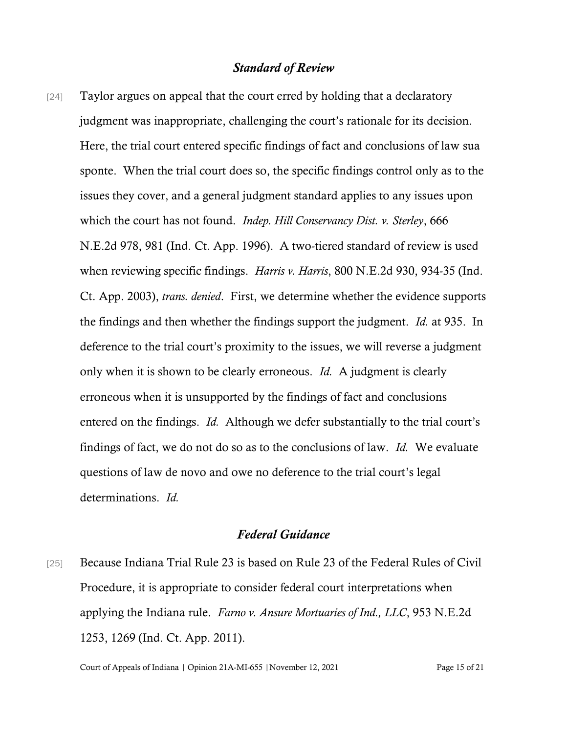### *Standard of Review*

[24] Taylor argues on appeal that the court erred by holding that a declaratory judgment was inappropriate, challenging the court's rationale for its decision. Here, the trial court entered specific findings of fact and conclusions of law sua sponte. When the trial court does so, the specific findings control only as to the issues they cover, and a general judgment standard applies to any issues upon which the court has not found. *Indep. Hill Conservancy Dist. v. Sterley*, 666 N.E.2d 978, 981 (Ind. Ct. App. 1996). A two-tiered standard of review is used when reviewing specific findings. *Harris v. Harris*, 800 N.E.2d 930, 934-35 (Ind. Ct. App. 2003), *trans. denied*. First, we determine whether the evidence supports the findings and then whether the findings support the judgment. *Id.* at 935. In deference to the trial court's proximity to the issues, we will reverse a judgment only when it is shown to be clearly erroneous. *Id.* A judgment is clearly erroneous when it is unsupported by the findings of fact and conclusions entered on the findings. *Id.* Although we defer substantially to the trial court's findings of fact, we do not do so as to the conclusions of law. *Id.* We evaluate questions of law de novo and owe no deference to the trial court's legal determinations. *Id.*

#### *Federal Guidance*

[25] Because Indiana Trial Rule 23 is based on Rule 23 of the Federal Rules of Civil Procedure, it is appropriate to consider federal court interpretations when applying the Indiana rule. *Farno v. Ansure Mortuaries of Ind., LLC*, 953 N.E.2d 1253, 1269 (Ind. Ct. App. 2011).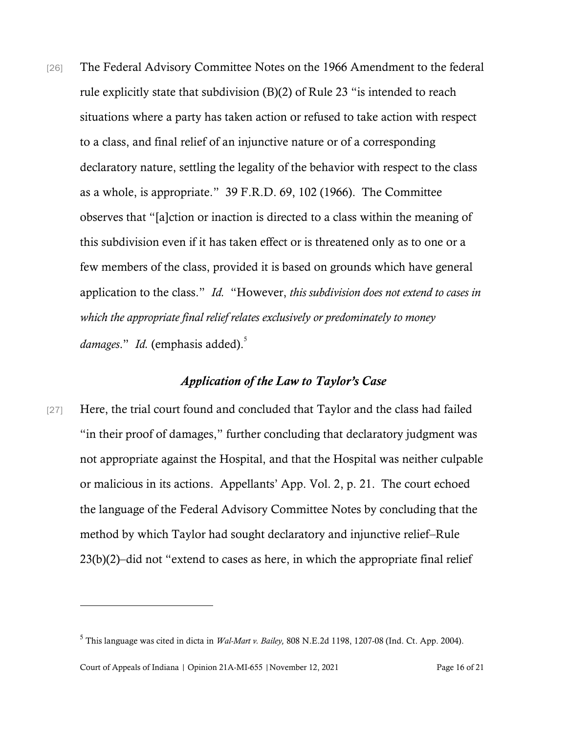[26] The Federal Advisory Committee Notes on the 1966 Amendment to the federal rule explicitly state that subdivision (B)(2) of Rule 23 "is intended to reach situations where a party has taken action or refused to take action with respect to a class, and final relief of an injunctive nature or of a corresponding declaratory nature, settling the legality of the behavior with respect to the class as a whole, is appropriate." 39 F.R.D. 69, 102 (1966). The Committee observes that "[a]ction or inaction is directed to a class within the meaning of this subdivision even if it has taken effect or is threatened only as to one or a few members of the class, provided it is based on grounds which have general application to the class." *Id.* "However, *this subdivision does not extend to cases in which the appropriate final relief relates exclusively or predominately to money*  damages." Id. (emphasis added).<sup>5</sup>

### *Application of the Law to Taylor's Case*

[27] Here, the trial court found and concluded that Taylor and the class had failed "in their proof of damages," further concluding that declaratory judgment was not appropriate against the Hospital, and that the Hospital was neither culpable or malicious in its actions. Appellants' App. Vol. 2, p. 21. The court echoed the language of the Federal Advisory Committee Notes by concluding that the method by which Taylor had sought declaratory and injunctive relief–Rule 23(b)(2)–did not "extend to cases as here, in which the appropriate final relief

<sup>5</sup> This language was cited in dicta in *Wal-Mart v. Bailey,* 808 N.E.2d 1198, 1207-08 (Ind. Ct. App. 2004).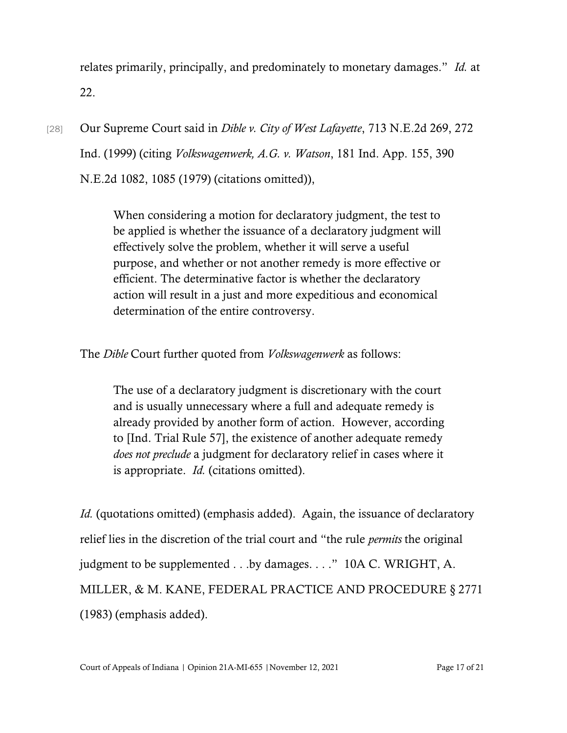relates primarily, principally, and predominately to monetary damages." *Id.* at 22.

[28] Our Supreme Court said in *Dible v. City of West Lafayette*, 713 N.E.2d 269, 272 Ind. (1999) (citing *Volkswagenwerk, A.G. v. Watson*, 181 Ind. App. 155, 390 N.E.2d 1082, 1085 (1979) (citations omitted)),

> When considering a motion for declaratory judgment, the test to be applied is whether the issuance of a declaratory judgment will effectively solve the problem, whether it will serve a useful purpose, and whether or not another remedy is more effective or efficient. The determinative factor is whether the declaratory action will result in a just and more expeditious and economical determination of the entire controversy.

The *Dible* Court further quoted from *Volkswagenwerk* as follows:

The use of a declaratory judgment is discretionary with the court and is usually unnecessary where a full and adequate remedy is already provided by another form of action. However, according to [Ind. Trial Rule 57], the existence of another adequate remedy *does not preclude* a judgment for declaratory relief in cases where it is appropriate. *Id.* (citations omitted).

*Id.* (quotations omitted) (emphasis added). Again, the issuance of declaratory relief lies in the discretion of the trial court and "the rule *permits* the original judgment to be supplemented . . .by damages. . . ." 10A C. WRIGHT, A. MILLER, & M. KANE, FEDERAL PRACTICE AND PROCEDURE § 2771 (1983) (emphasis added).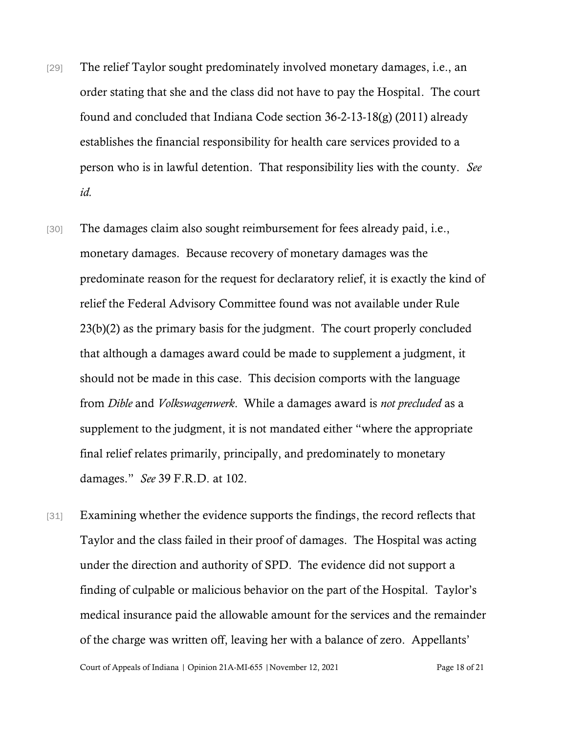- [29] The relief Taylor sought predominately involved monetary damages, i.e., an order stating that she and the class did not have to pay the Hospital. The court found and concluded that Indiana Code section 36-2-13-18(g) (2011) already establishes the financial responsibility for health care services provided to a person who is in lawful detention. That responsibility lies with the county. *See id.*
- [30] The damages claim also sought reimbursement for fees already paid, i.e., monetary damages. Because recovery of monetary damages was the predominate reason for the request for declaratory relief, it is exactly the kind of relief the Federal Advisory Committee found was not available under Rule 23(b)(2) as the primary basis for the judgment. The court properly concluded that although a damages award could be made to supplement a judgment, it should not be made in this case. This decision comports with the language from *Dible* and *Volkswagenwerk*. While a damages award is *not precluded* as a supplement to the judgment, it is not mandated either "where the appropriate final relief relates primarily, principally, and predominately to monetary damages." *See* 39 F.R.D. at 102.
- [31] Examining whether the evidence supports the findings, the record reflects that Taylor and the class failed in their proof of damages. The Hospital was acting under the direction and authority of SPD. The evidence did not support a finding of culpable or malicious behavior on the part of the Hospital. Taylor's medical insurance paid the allowable amount for the services and the remainder of the charge was written off, leaving her with a balance of zero. Appellants'

Court of Appeals of Indiana | Opinion 21A-MI-655 | November 12, 2021 Page 18 of 21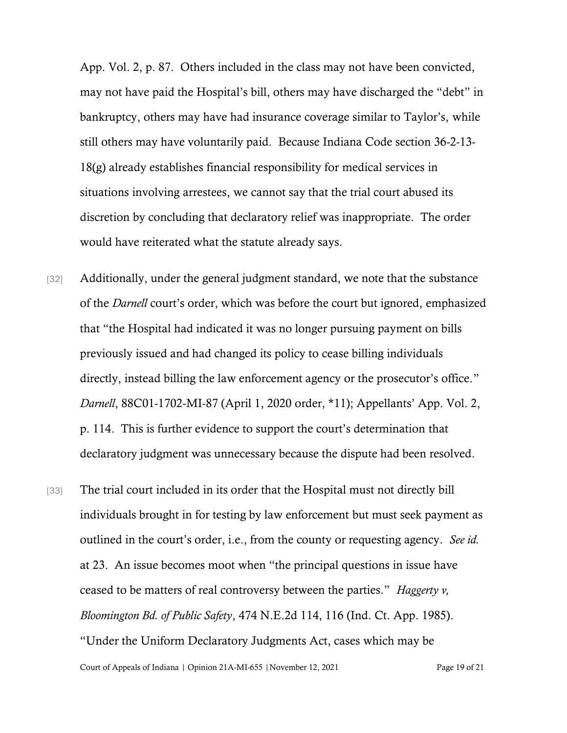App. Vol. 2, p. 87. Others included in the class may not have been convicted, may not have paid the Hospital's bill, others may have discharged the "debt" in bankruptcy, others may have had insurance coverage similar to Taylor's, while still others may have voluntarily paid. Because Indiana Code section 36-2-13- 18(g) already establishes financial responsibility for medical services in situations involving arrestees, we cannot say that the trial court abused its discretion by concluding that declaratory relief was inappropriate. The order would have reiterated what the statute already says.

- [32] Additionally, under the general judgment standard, we note that the substance of the *Darnell* court's order, which was before the court but ignored, emphasized that "the Hospital had indicated it was no longer pursuing payment on bills previously issued and had changed its policy to cease billing individuals directly, instead billing the law enforcement agency or the prosecutor's office." *Darnell*, 88C01-1702-MI-87 (April 1, 2020 order, \*11); Appellants' App. Vol. 2, p. 114. This is further evidence to support the court's determination that declaratory judgment was unnecessary because the dispute had been resolved.
- Court of Appeals of Indiana | Opinion 21A-MI-655 | November 12, 2021 Page 19 of 21 [33] The trial court included in its order that the Hospital must not directly bill individuals brought in for testing by law enforcement but must seek payment as outlined in the court's order, i.e., from the county or requesting agency. *See id.* at 23. An issue becomes moot when "the principal questions in issue have ceased to be matters of real controversy between the parties." *Haggerty v, Bloomington Bd. of Public Safety*, 474 N.E.2d 114, 116 (Ind. Ct. App. 1985). "Under the Uniform Declaratory Judgments Act, cases which may be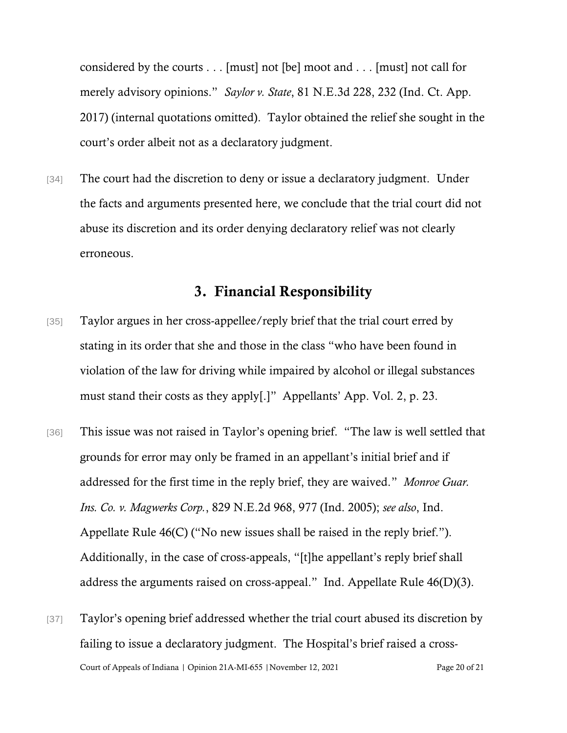considered by the courts . . . [must] not [be] moot and . . . [must] not call for merely advisory opinions." *Saylor v. State*, 81 N.E.3d 228, 232 (Ind. Ct. App. 2017) (internal quotations omitted). Taylor obtained the relief she sought in the court's order albeit not as a declaratory judgment.

[34] The court had the discretion to deny or issue a declaratory judgment. Under the facts and arguments presented here, we conclude that the trial court did not abuse its discretion and its order denying declaratory relief was not clearly erroneous.

# 3. Financial Responsibility

- [35] Taylor argues in her cross-appellee/reply brief that the trial court erred by stating in its order that she and those in the class "who have been found in violation of the law for driving while impaired by alcohol or illegal substances must stand their costs as they apply[.]" Appellants' App. Vol. 2, p. 23.
- [36] This issue was not raised in Taylor's opening brief. "The law is well settled that grounds for error may only be framed in an appellant's initial brief and if addressed for the first time in the reply brief, they are waived." *Monroe Guar. Ins. Co. v. Magwerks Corp.*, 829 N.E.2d 968, 977 (Ind. 2005); *see also*, Ind. Appellate Rule 46(C) ("No new issues shall be raised in the reply brief."). Additionally, in the case of cross-appeals, "[t]he appellant's reply brief shall address the arguments raised on cross-appeal." Ind. Appellate Rule 46(D)(3).
- Court of Appeals of Indiana | Opinion 21A-MI-655 | November 12, 2021 Page 20 of 21 [37] Taylor's opening brief addressed whether the trial court abused its discretion by failing to issue a declaratory judgment. The Hospital's brief raised a cross-